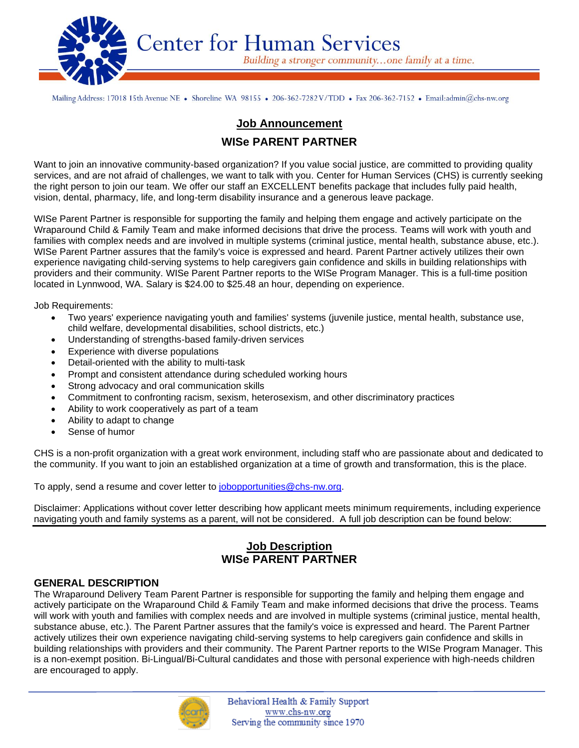

Mailing Address: 17018 15th Avenue NE • Shoreline WA 98155 • 206-362-7282V/TDD • Fax 206-362-7152 • Email:admin@chs-nw.org

# **Job Announcement WISe PARENT PARTNER**

Want to join an innovative community-based organization? If you value social justice, are committed to providing quality services, and are not afraid of challenges, we want to talk with you. Center for Human Services (CHS) is currently seeking the right person to join our team. We offer our staff an EXCELLENT benefits package that includes fully paid health, vision, dental, pharmacy, life, and long-term disability insurance and a generous leave package.

WISe Parent Partner is responsible for supporting the family and helping them engage and actively participate on the Wraparound Child & Family Team and make informed decisions that drive the process. Teams will work with youth and families with complex needs and are involved in multiple systems (criminal justice, mental health, substance abuse, etc.). WISe Parent Partner assures that the family's voice is expressed and heard. Parent Partner actively utilizes their own experience navigating child-serving systems to help caregivers gain confidence and skills in building relationships with providers and their community. WISe Parent Partner reports to the WISe Program Manager. This is a full-time position located in Lynnwood, WA. Salary is \$24.00 to \$25.48 an hour, depending on experience.

Job Requirements:

- Two years' experience navigating youth and families' systems (juvenile justice, mental health, substance use, child welfare, developmental disabilities, school districts, etc.)
- Understanding of strengths-based family-driven services
- Experience with diverse populations
- Detail-oriented with the ability to multi-task
- Prompt and consistent attendance during scheduled working hours
- Strong advocacy and oral communication skills
- Commitment to confronting racism, sexism, heterosexism, and other discriminatory practices
- Ability to work cooperatively as part of a team
- Ability to adapt to change
- Sense of humor

CHS is a non-profit organization with a great work environment, including staff who are passionate about and dedicated to the community. If you want to join an established organization at a time of growth and transformation, this is the place.

To apply, send a resume and cover letter to [jobopportunities@chs-nw.org.](mailto:jobopportunities@chs-nw.org)

Disclaimer: Applications without cover letter describing how applicant meets minimum requirements, including experience navigating youth and family systems as a parent, will not be considered. A full job description can be found below:

## **Job Description WISe PARENT PARTNER**

#### **GENERAL DESCRIPTION**

 $\overline{a}$ 

The Wraparound Delivery Team Parent Partner is responsible for supporting the family and helping them engage and actively participate on the Wraparound Child & Family Team and make informed decisions that drive the process. Teams will work with youth and families with complex needs and are involved in multiple systems (criminal justice, mental health, substance abuse, etc.). The Parent Partner assures that the family's voice is expressed and heard. The Parent Partner actively utilizes their own experience navigating child-serving systems to help caregivers gain confidence and skills in building relationships with providers and their community. The Parent Partner reports to the WISe Program Manager. This is a non-exempt position. Bi-Lingual/Bi-Cultural candidates and those with personal experience with high-needs children are encouraged to apply.



Behavioral Health & Family Support www.chs-nw.org Serving the community since 1970